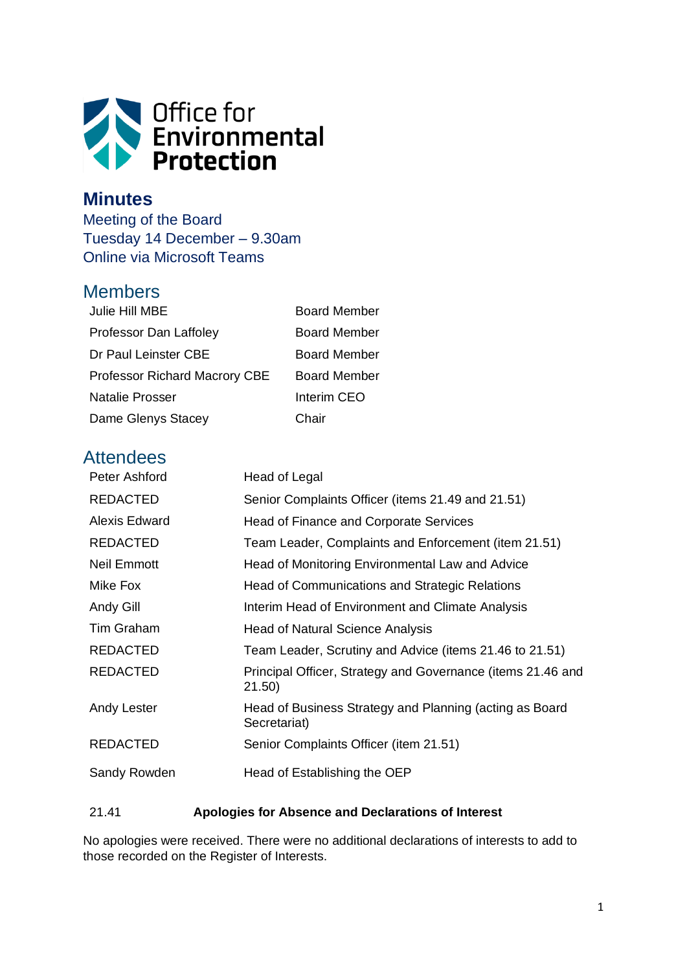

# **Minutes**

Meeting of the Board Tuesday 14 December – 9.30am Online via Microsoft Teams

# Members

| Julie Hill MBE                       | <b>Board Member</b> |
|--------------------------------------|---------------------|
| Professor Dan Laffoley               | <b>Board Member</b> |
| Dr Paul Leinster CBE                 | <b>Board Member</b> |
| <b>Professor Richard Macrory CBE</b> | <b>Board Member</b> |
| Natalie Prosser                      | Interim CEO         |
| Dame Glenys Stacey                   | Chair               |

# **Attendees**

| Peter Ashford   | Head of Legal                                                           |
|-----------------|-------------------------------------------------------------------------|
| <b>REDACTED</b> | Senior Complaints Officer (items 21.49 and 21.51)                       |
| Alexis Edward   | Head of Finance and Corporate Services                                  |
| <b>REDACTED</b> | Team Leader, Complaints and Enforcement (item 21.51)                    |
| Neil Emmott     | Head of Monitoring Environmental Law and Advice                         |
| Mike Fox        | Head of Communications and Strategic Relations                          |
| Andy Gill       | Interim Head of Environment and Climate Analysis                        |
| Tim Graham      | <b>Head of Natural Science Analysis</b>                                 |
| <b>REDACTED</b> | Team Leader, Scrutiny and Advice (items 21.46 to 21.51)                 |
| <b>REDACTED</b> | Principal Officer, Strategy and Governance (items 21.46 and<br>21.50)   |
| Andy Lester     | Head of Business Strategy and Planning (acting as Board<br>Secretariat) |
| <b>REDACTED</b> | Senior Complaints Officer (item 21.51)                                  |
| Sandy Rowden    | Head of Establishing the OEP                                            |

# 21.41 **Apologies for Absence and Declarations of Interest**

No apologies were received. There were no additional declarations of interests to add to those recorded on the Register of Interests.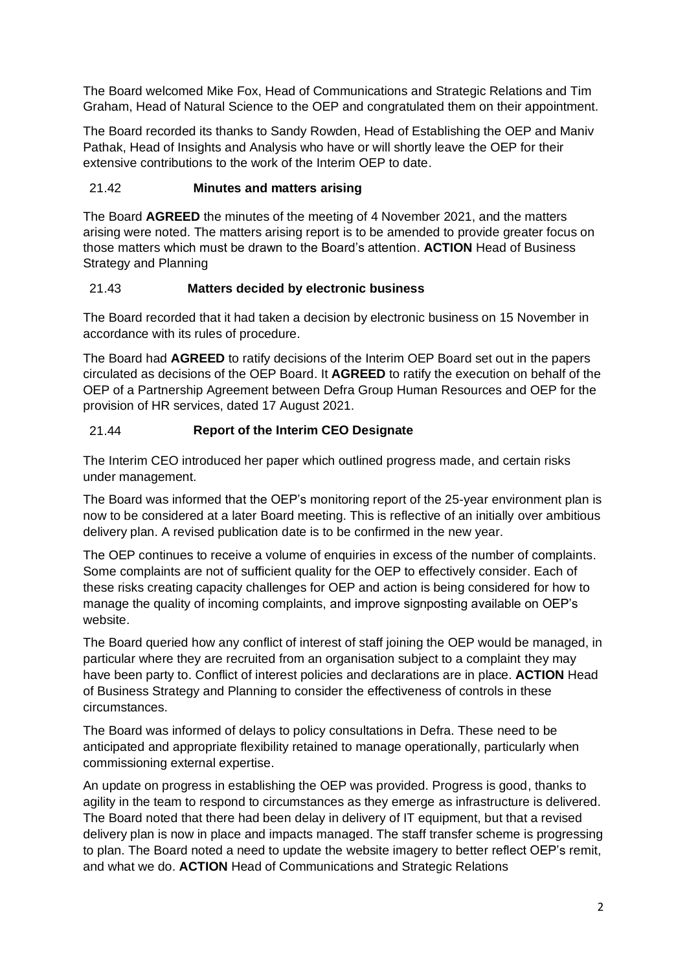The Board welcomed Mike Fox, Head of Communications and Strategic Relations and Tim Graham, Head of Natural Science to the OEP and congratulated them on their appointment.

The Board recorded its thanks to Sandy Rowden, Head of Establishing the OEP and Maniv Pathak, Head of Insights and Analysis who have or will shortly leave the OEP for their extensive contributions to the work of the Interim OEP to date.

# 21.42 **Minutes and matters arising**

The Board **AGREED** the minutes of the meeting of 4 November 2021, and the matters arising were noted. The matters arising report is to be amended to provide greater focus on those matters which must be drawn to the Board's attention. **ACTION** Head of Business Strategy and Planning

## 21.43 **Matters decided by electronic business**

The Board recorded that it had taken a decision by electronic business on 15 November in accordance with its rules of procedure.

The Board had **AGREED** to ratify decisions of the Interim OEP Board set out in the papers circulated as decisions of the OEP Board. It **AGREED** to ratify the execution on behalf of the OEP of a Partnership Agreement between Defra Group Human Resources and OEP for the provision of HR services, dated 17 August 2021.

# 21.44 **Report of the Interim CEO Designate**

The Interim CEO introduced her paper which outlined progress made, and certain risks under management.

The Board was informed that the OEP's monitoring report of the 25-year environment plan is now to be considered at a later Board meeting. This is reflective of an initially over ambitious delivery plan. A revised publication date is to be confirmed in the new year.

The OEP continues to receive a volume of enquiries in excess of the number of complaints. Some complaints are not of sufficient quality for the OEP to effectively consider. Each of these risks creating capacity challenges for OEP and action is being considered for how to manage the quality of incoming complaints, and improve signposting available on OEP's website.

The Board queried how any conflict of interest of staff joining the OEP would be managed, in particular where they are recruited from an organisation subject to a complaint they may have been party to. Conflict of interest policies and declarations are in place. **ACTION** Head of Business Strategy and Planning to consider the effectiveness of controls in these circumstances.

The Board was informed of delays to policy consultations in Defra. These need to be anticipated and appropriate flexibility retained to manage operationally, particularly when commissioning external expertise.

An update on progress in establishing the OEP was provided. Progress is good, thanks to agility in the team to respond to circumstances as they emerge as infrastructure is delivered. The Board noted that there had been delay in delivery of IT equipment, but that a revised delivery plan is now in place and impacts managed. The staff transfer scheme is progressing to plan. The Board noted a need to update the website imagery to better reflect OEP's remit, and what we do. **ACTION** Head of Communications and Strategic Relations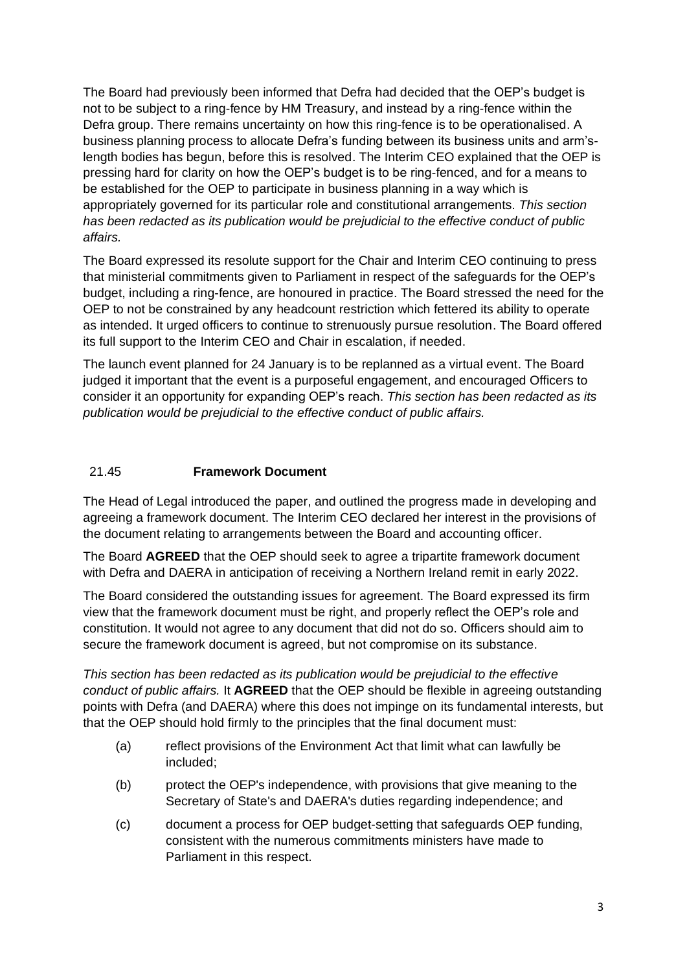The Board had previously been informed that Defra had decided that the OEP's budget is not to be subject to a ring-fence by HM Treasury, and instead by a ring-fence within the Defra group. There remains uncertainty on how this ring-fence is to be operationalised. A business planning process to allocate Defra's funding between its business units and arm'slength bodies has begun, before this is resolved. The Interim CEO explained that the OEP is pressing hard for clarity on how the OEP's budget is to be ring-fenced, and for a means to be established for the OEP to participate in business planning in a way which is appropriately governed for its particular role and constitutional arrangements. *This section has been redacted as its publication would be prejudicial to the effective conduct of public affairs.*

The Board expressed its resolute support for the Chair and Interim CEO continuing to press that ministerial commitments given to Parliament in respect of the safeguards for the OEP's budget, including a ring-fence, are honoured in practice. The Board stressed the need for the OEP to not be constrained by any headcount restriction which fettered its ability to operate as intended. It urged officers to continue to strenuously pursue resolution. The Board offered its full support to the Interim CEO and Chair in escalation, if needed.

The launch event planned for 24 January is to be replanned as a virtual event. The Board judged it important that the event is a purposeful engagement, and encouraged Officers to consider it an opportunity for expanding OEP's reach. *This section has been redacted as its publication would be prejudicial to the effective conduct of public affairs.*

#### 21.45 **Framework Document**

The Head of Legal introduced the paper, and outlined the progress made in developing and agreeing a framework document. The Interim CEO declared her interest in the provisions of the document relating to arrangements between the Board and accounting officer.

The Board **AGREED** that the OEP should seek to agree a tripartite framework document with Defra and DAERA in anticipation of receiving a Northern Ireland remit in early 2022.

The Board considered the outstanding issues for agreement. The Board expressed its firm view that the framework document must be right, and properly reflect the OEP's role and constitution. It would not agree to any document that did not do so. Officers should aim to secure the framework document is agreed, but not compromise on its substance.

*This section has been redacted as its publication would be prejudicial to the effective conduct of public affairs.* It **AGREED** that the OEP should be flexible in agreeing outstanding points with Defra (and DAERA) where this does not impinge on its fundamental interests, but that the OEP should hold firmly to the principles that the final document must:

- (a) reflect provisions of the Environment Act that limit what can lawfully be included;
- (b) protect the OEP's independence, with provisions that give meaning to the Secretary of State's and DAERA's duties regarding independence; and
- (c) document a process for OEP budget-setting that safeguards OEP funding, consistent with the numerous commitments ministers have made to Parliament in this respect.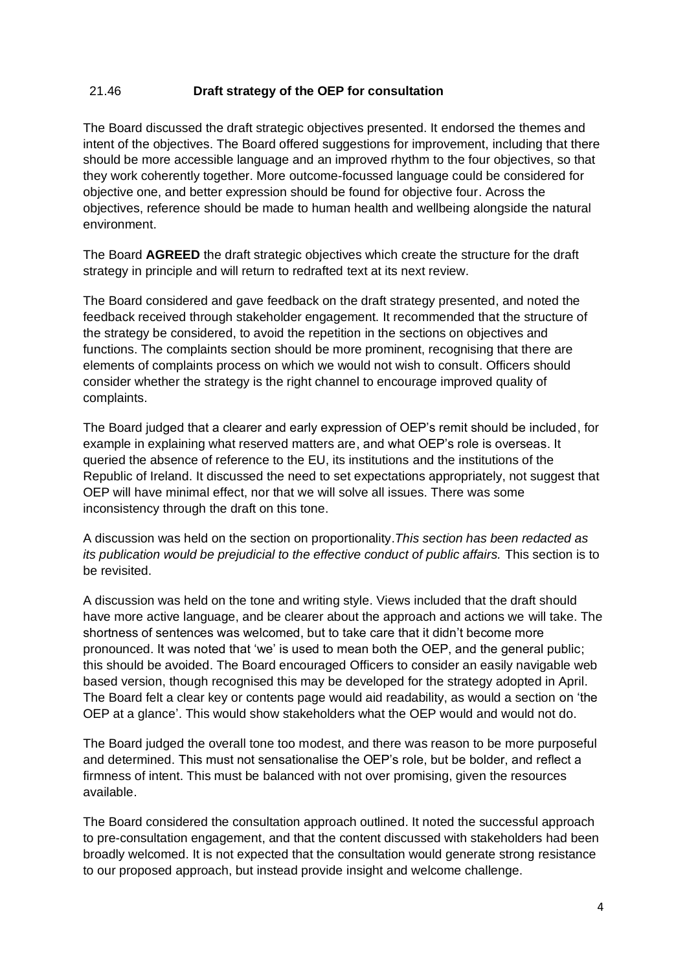#### 21.46 **Draft strategy of the OEP for consultation**

The Board discussed the draft strategic objectives presented. It endorsed the themes and intent of the objectives. The Board offered suggestions for improvement, including that there should be more accessible language and an improved rhythm to the four objectives, so that they work coherently together. More outcome-focussed language could be considered for objective one, and better expression should be found for objective four. Across the objectives, reference should be made to human health and wellbeing alongside the natural environment.

The Board **AGREED** the draft strategic objectives which create the structure for the draft strategy in principle and will return to redrafted text at its next review.

The Board considered and gave feedback on the draft strategy presented, and noted the feedback received through stakeholder engagement. It recommended that the structure of the strategy be considered, to avoid the repetition in the sections on objectives and functions. The complaints section should be more prominent, recognising that there are elements of complaints process on which we would not wish to consult. Officers should consider whether the strategy is the right channel to encourage improved quality of complaints.

The Board judged that a clearer and early expression of OEP's remit should be included, for example in explaining what reserved matters are, and what OEP's role is overseas. It queried the absence of reference to the EU, its institutions and the institutions of the Republic of Ireland. It discussed the need to set expectations appropriately, not suggest that OEP will have minimal effect, nor that we will solve all issues. There was some inconsistency through the draft on this tone.

A discussion was held on the section on proportionality.*This section has been redacted as its publication would be prejudicial to the effective conduct of public affairs.* This section is to be revisited.

A discussion was held on the tone and writing style. Views included that the draft should have more active language, and be clearer about the approach and actions we will take. The shortness of sentences was welcomed, but to take care that it didn't become more pronounced. It was noted that 'we' is used to mean both the OEP, and the general public; this should be avoided. The Board encouraged Officers to consider an easily navigable web based version, though recognised this may be developed for the strategy adopted in April. The Board felt a clear key or contents page would aid readability, as would a section on 'the OEP at a glance'. This would show stakeholders what the OEP would and would not do.

The Board judged the overall tone too modest, and there was reason to be more purposeful and determined. This must not sensationalise the OEP's role, but be bolder, and reflect a firmness of intent. This must be balanced with not over promising, given the resources available.

The Board considered the consultation approach outlined. It noted the successful approach to pre-consultation engagement, and that the content discussed with stakeholders had been broadly welcomed. It is not expected that the consultation would generate strong resistance to our proposed approach, but instead provide insight and welcome challenge.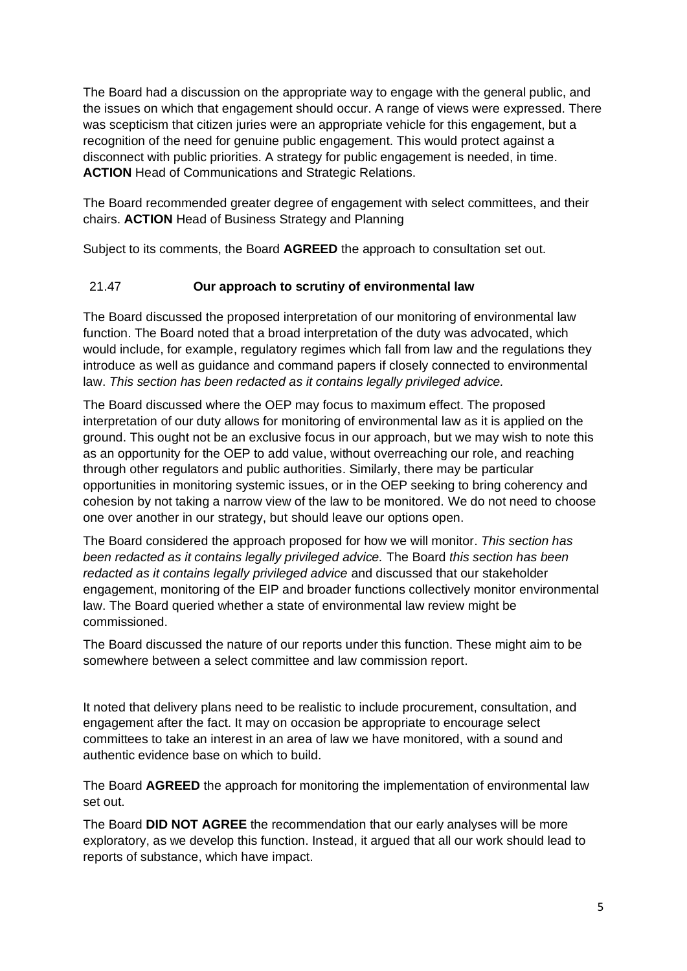The Board had a discussion on the appropriate way to engage with the general public, and the issues on which that engagement should occur. A range of views were expressed. There was scepticism that citizen juries were an appropriate vehicle for this engagement, but a recognition of the need for genuine public engagement. This would protect against a disconnect with public priorities. A strategy for public engagement is needed, in time. **ACTION** Head of Communications and Strategic Relations.

The Board recommended greater degree of engagement with select committees, and their chairs. **ACTION** Head of Business Strategy and Planning

Subject to its comments, the Board **AGREED** the approach to consultation set out.

## 21.47 **Our approach to scrutiny of environmental law**

The Board discussed the proposed interpretation of our monitoring of environmental law function. The Board noted that a broad interpretation of the duty was advocated, which would include, for example, regulatory regimes which fall from law and the regulations they introduce as well as guidance and command papers if closely connected to environmental law. *This section has been redacted as it contains legally privileged advice.*

The Board discussed where the OEP may focus to maximum effect. The proposed interpretation of our duty allows for monitoring of environmental law as it is applied on the ground. This ought not be an exclusive focus in our approach, but we may wish to note this as an opportunity for the OEP to add value, without overreaching our role, and reaching through other regulators and public authorities. Similarly, there may be particular opportunities in monitoring systemic issues, or in the OEP seeking to bring coherency and cohesion by not taking a narrow view of the law to be monitored. We do not need to choose one over another in our strategy, but should leave our options open.

The Board considered the approach proposed for how we will monitor. *This section has been redacted as it contains legally privileged advice.* The Board *this section has been redacted as it contains legally privileged advice* and discussed that our stakeholder engagement, monitoring of the EIP and broader functions collectively monitor environmental law. The Board queried whether a state of environmental law review might be commissioned.

The Board discussed the nature of our reports under this function. These might aim to be somewhere between a select committee and law commission report.

It noted that delivery plans need to be realistic to include procurement, consultation, and engagement after the fact. It may on occasion be appropriate to encourage select committees to take an interest in an area of law we have monitored, with a sound and authentic evidence base on which to build.

The Board **AGREED** the approach for monitoring the implementation of environmental law set out.

The Board **DID NOT AGREE** the recommendation that our early analyses will be more exploratory, as we develop this function. Instead, it argued that all our work should lead to reports of substance, which have impact.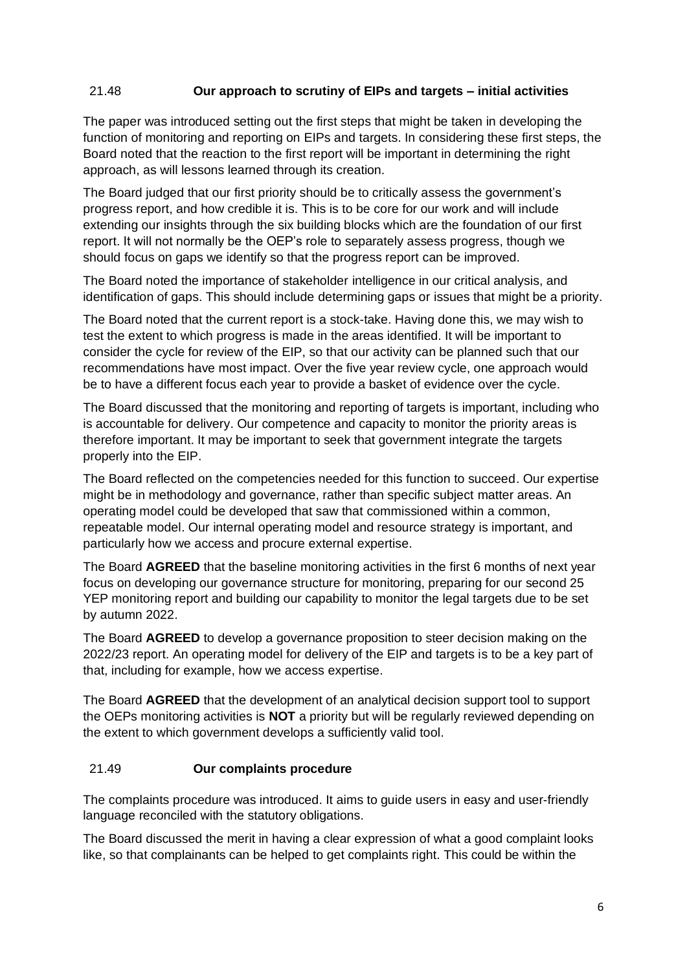### 21.48 **Our approach to scrutiny of EIPs and targets – initial activities**

The paper was introduced setting out the first steps that might be taken in developing the function of monitoring and reporting on EIPs and targets. In considering these first steps, the Board noted that the reaction to the first report will be important in determining the right approach, as will lessons learned through its creation.

The Board judged that our first priority should be to critically assess the government's progress report, and how credible it is. This is to be core for our work and will include extending our insights through the six building blocks which are the foundation of our first report. It will not normally be the OEP's role to separately assess progress, though we should focus on gaps we identify so that the progress report can be improved.

The Board noted the importance of stakeholder intelligence in our critical analysis, and identification of gaps. This should include determining gaps or issues that might be a priority.

The Board noted that the current report is a stock-take. Having done this, we may wish to test the extent to which progress is made in the areas identified. It will be important to consider the cycle for review of the EIP, so that our activity can be planned such that our recommendations have most impact. Over the five year review cycle, one approach would be to have a different focus each year to provide a basket of evidence over the cycle.

The Board discussed that the monitoring and reporting of targets is important, including who is accountable for delivery. Our competence and capacity to monitor the priority areas is therefore important. It may be important to seek that government integrate the targets properly into the EIP.

The Board reflected on the competencies needed for this function to succeed. Our expertise might be in methodology and governance, rather than specific subject matter areas. An operating model could be developed that saw that commissioned within a common, repeatable model. Our internal operating model and resource strategy is important, and particularly how we access and procure external expertise.

The Board **AGREED** that the baseline monitoring activities in the first 6 months of next year focus on developing our governance structure for monitoring, preparing for our second 25 YEP monitoring report and building our capability to monitor the legal targets due to be set by autumn 2022.

The Board **AGREED** to develop a governance proposition to steer decision making on the 2022/23 report. An operating model for delivery of the EIP and targets is to be a key part of that, including for example, how we access expertise.

The Board **AGREED** that the development of an analytical decision support tool to support the OEPs monitoring activities is **NOT** a priority but will be regularly reviewed depending on the extent to which government develops a sufficiently valid tool.

#### 21.49 **Our complaints procedure**

The complaints procedure was introduced. It aims to guide users in easy and user-friendly language reconciled with the statutory obligations.

The Board discussed the merit in having a clear expression of what a good complaint looks like, so that complainants can be helped to get complaints right. This could be within the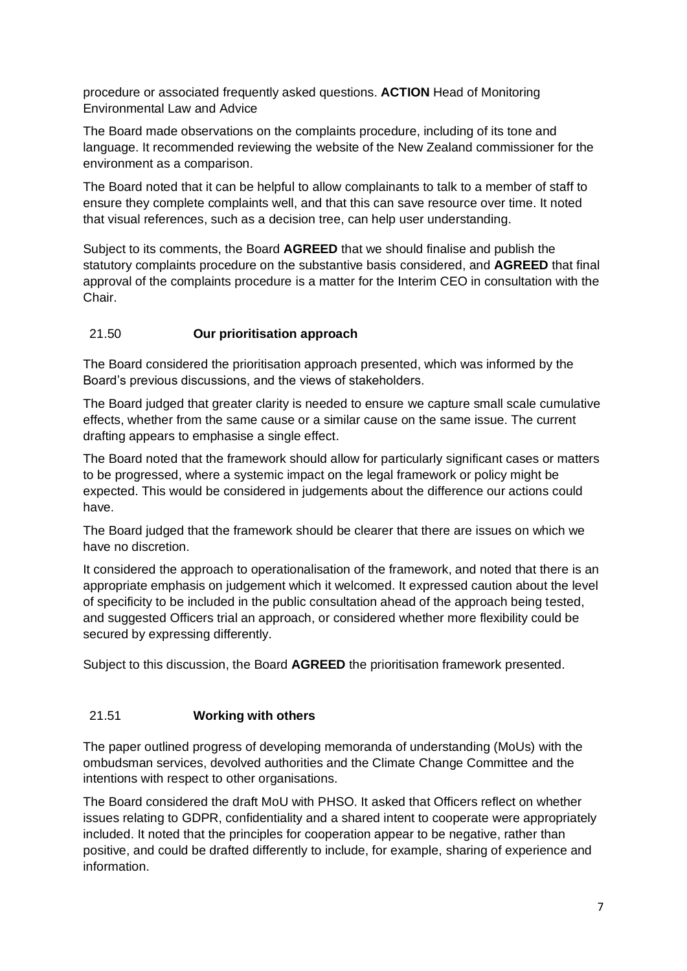procedure or associated frequently asked questions. **ACTION** Head of Monitoring Environmental Law and Advice

The Board made observations on the complaints procedure, including of its tone and language. It recommended reviewing the website of the New Zealand commissioner for the environment as a comparison.

The Board noted that it can be helpful to allow complainants to talk to a member of staff to ensure they complete complaints well, and that this can save resource over time. It noted that visual references, such as a decision tree, can help user understanding.

Subject to its comments, the Board **AGREED** that we should finalise and publish the statutory complaints procedure on the substantive basis considered, and **AGREED** that final approval of the complaints procedure is a matter for the Interim CEO in consultation with the Chair.

## 21.50 **Our prioritisation approach**

The Board considered the prioritisation approach presented, which was informed by the Board's previous discussions, and the views of stakeholders.

The Board judged that greater clarity is needed to ensure we capture small scale cumulative effects, whether from the same cause or a similar cause on the same issue. The current drafting appears to emphasise a single effect.

The Board noted that the framework should allow for particularly significant cases or matters to be progressed, where a systemic impact on the legal framework or policy might be expected. This would be considered in judgements about the difference our actions could have.

The Board judged that the framework should be clearer that there are issues on which we have no discretion.

It considered the approach to operationalisation of the framework, and noted that there is an appropriate emphasis on judgement which it welcomed. It expressed caution about the level of specificity to be included in the public consultation ahead of the approach being tested, and suggested Officers trial an approach, or considered whether more flexibility could be secured by expressing differently.

Subject to this discussion, the Board **AGREED** the prioritisation framework presented.

#### 21.51 **Working with others**

The paper outlined progress of developing memoranda of understanding (MoUs) with the ombudsman services, devolved authorities and the Climate Change Committee and the intentions with respect to other organisations.

The Board considered the draft MoU with PHSO. It asked that Officers reflect on whether issues relating to GDPR, confidentiality and a shared intent to cooperate were appropriately included. It noted that the principles for cooperation appear to be negative, rather than positive, and could be drafted differently to include, for example, sharing of experience and information.